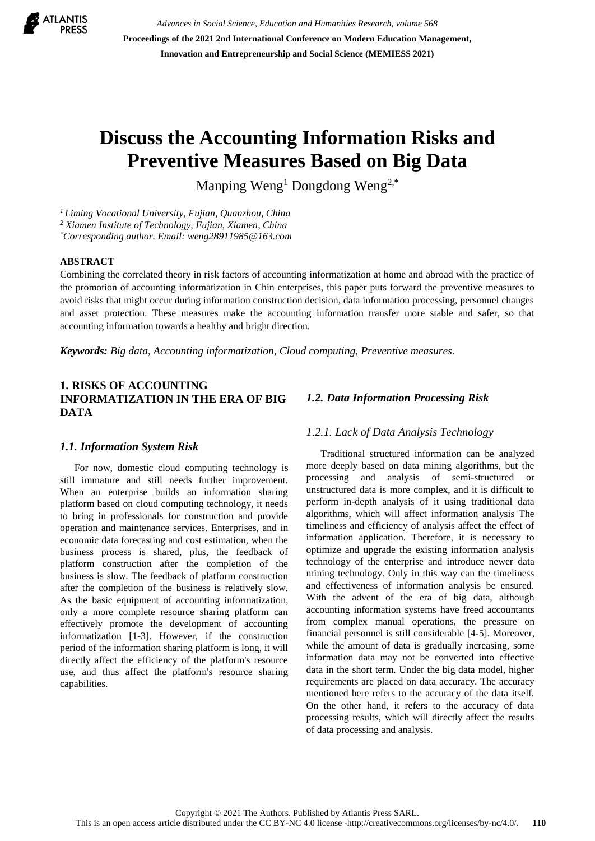

*Advances in Social Science, Education and Humanities Research, volume 568* **Proceedings of the 2021 2nd International Conference on Modern Education Management, Innovation and Entrepreneurship and Social Science (MEMIESS 2021)**

# **Discuss the Accounting Information Risks and Preventive Measures Based on Big Data**

Manping Weng<sup>1</sup> Dongdong Weng<sup>2,\*</sup>

*<sup>1</sup> Liming Vocational University, Fujian, Quanzhou, China*

*<sup>2</sup> Xiamen Institute of Technology, Fujian, Xiamen, China*

*\*Corresponding author. Email: weng28911985@163.com* 

## **ABSTRACT**

Combining the correlated theory in risk factors of accounting informatization at home and abroad with the practice of the promotion of accounting informatization in Chin enterprises, this paper puts forward the preventive measures to avoid risks that might occur during information construction decision, data information processing, personnel changes and asset protection. These measures make the accounting information transfer more stable and safer, so that accounting information towards a healthy and bright direction.

*Keywords: Big data, Accounting informatization, Cloud computing, Preventive measures.*

# **1. RISKS OF ACCOUNTING INFORMATIZATION IN THE ERA OF BIG DATA**

#### *1.1. Information System Risk*

For now, domestic cloud computing technology is still immature and still needs further improvement. When an enterprise builds an information sharing platform based on cloud computing technology, it needs to bring in professionals for construction and provide operation and maintenance services. Enterprises, and in economic data forecasting and cost estimation, when the business process is shared, plus, the feedback of platform construction after the completion of the business is slow. The feedback of platform construction after the completion of the business is relatively slow. As the basic equipment of accounting informatization, only a more complete resource sharing platform can effectively promote the development of accounting informatization [1-3]. However, if the construction period of the information sharing platform is long, it will directly affect the efficiency of the platform's resource use, and thus affect the platform's resource sharing capabilities.

## *1.2. Data Information Processing Risk*

#### *1.2.1. Lack of Data Analysis Technology*

Traditional structured information can be analyzed more deeply based on data mining algorithms, but the processing and analysis of semi-structured or unstructured data is more complex, and it is difficult to perform in-depth analysis of it using traditional data algorithms, which will affect information analysis The timeliness and efficiency of analysis affect the effect of information application. Therefore, it is necessary to optimize and upgrade the existing information analysis technology of the enterprise and introduce newer data mining technology. Only in this way can the timeliness and effectiveness of information analysis be ensured. With the advent of the era of big data, although accounting information systems have freed accountants from complex manual operations, the pressure on financial personnel is still considerable [4-5]. Moreover, while the amount of data is gradually increasing, some information data may not be converted into effective data in the short term. Under the big data model, higher requirements are placed on data accuracy. The accuracy mentioned here refers to the accuracy of the data itself. On the other hand, it refers to the accuracy of data processing results, which will directly affect the results of data processing and analysis.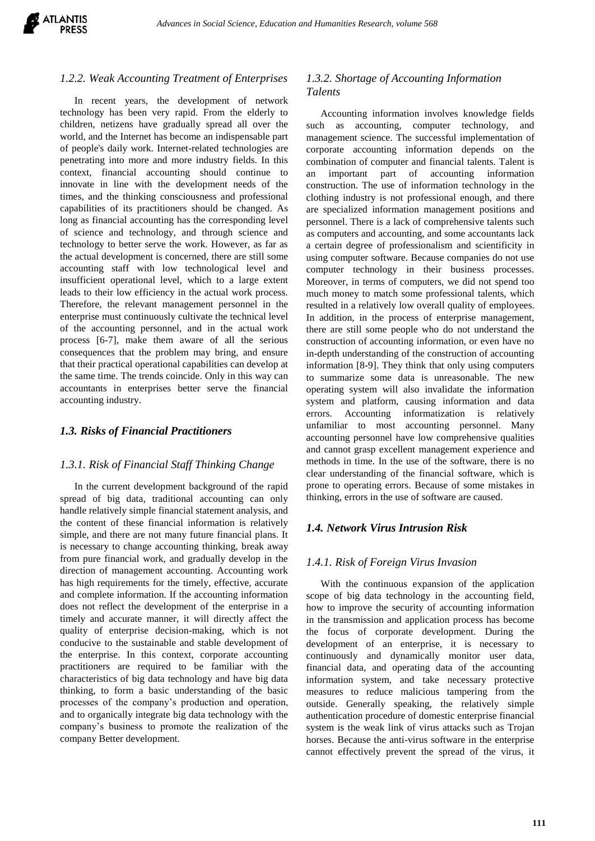

#### *1.2.2. Weak Accounting Treatment of Enterprises*

In recent years, the development of network technology has been very rapid. From the elderly to children, netizens have gradually spread all over the world, and the Internet has become an indispensable part of people's daily work. Internet-related technologies are penetrating into more and more industry fields. In this context, financial accounting should continue to innovate in line with the development needs of the times, and the thinking consciousness and professional capabilities of its practitioners should be changed. As long as financial accounting has the corresponding level of science and technology, and through science and technology to better serve the work. However, as far as the actual development is concerned, there are still some accounting staff with low technological level and insufficient operational level, which to a large extent leads to their low efficiency in the actual work process. Therefore, the relevant management personnel in the enterprise must continuously cultivate the technical level of the accounting personnel, and in the actual work process [6-7], make them aware of all the serious consequences that the problem may bring, and ensure that their practical operational capabilities can develop at the same time. The trends coincide. Only in this way can accountants in enterprises better serve the financial accounting industry.

#### *1.3. Risks of Financial Practitioners*

#### *1.3.1. Risk of Financial Staff Thinking Change*

In the current development background of the rapid spread of big data, traditional accounting can only handle relatively simple financial statement analysis, and the content of these financial information is relatively simple, and there are not many future financial plans. It is necessary to change accounting thinking, break away from pure financial work, and gradually develop in the direction of management accounting. Accounting work has high requirements for the timely, effective, accurate and complete information. If the accounting information does not reflect the development of the enterprise in a timely and accurate manner, it will directly affect the quality of enterprise decision-making, which is not conducive to the sustainable and stable development of the enterprise. In this context, corporate accounting practitioners are required to be familiar with the characteristics of big data technology and have big data thinking, to form a basic understanding of the basic processes of the company's production and operation, and to organically integrate big data technology with the company's business to promote the realization of the company Better development.

#### *1.3.2. Shortage of Accounting Information Talents*

Accounting information involves knowledge fields such as accounting, computer technology, and management science. The successful implementation of corporate accounting information depends on the combination of computer and financial talents. Talent is an important part of accounting information construction. The use of information technology in the clothing industry is not professional enough, and there are specialized information management positions and personnel. There is a lack of comprehensive talents such as computers and accounting, and some accountants lack a certain degree of professionalism and scientificity in using computer software. Because companies do not use computer technology in their business processes. Moreover, in terms of computers, we did not spend too much money to match some professional talents, which resulted in a relatively low overall quality of employees. In addition, in the process of enterprise management, there are still some people who do not understand the construction of accounting information, or even have no in-depth understanding of the construction of accounting information [8-9]. They think that only using computers to summarize some data is unreasonable. The new operating system will also invalidate the information system and platform, causing information and data errors. Accounting informatization is relatively unfamiliar to most accounting personnel. Many accounting personnel have low comprehensive qualities and cannot grasp excellent management experience and methods in time. In the use of the software, there is no clear understanding of the financial software, which is prone to operating errors. Because of some mistakes in thinking, errors in the use of software are caused.

#### *1.4. Network Virus Intrusion Risk*

#### *1.4.1. Risk of Foreign Virus Invasion*

With the continuous expansion of the application scope of big data technology in the accounting field, how to improve the security of accounting information in the transmission and application process has become the focus of corporate development. During the development of an enterprise, it is necessary to continuously and dynamically monitor user data, financial data, and operating data of the accounting information system, and take necessary protective measures to reduce malicious tampering from the outside. Generally speaking, the relatively simple authentication procedure of domestic enterprise financial system is the weak link of virus attacks such as Trojan horses. Because the anti-virus software in the enterprise cannot effectively prevent the spread of the virus, it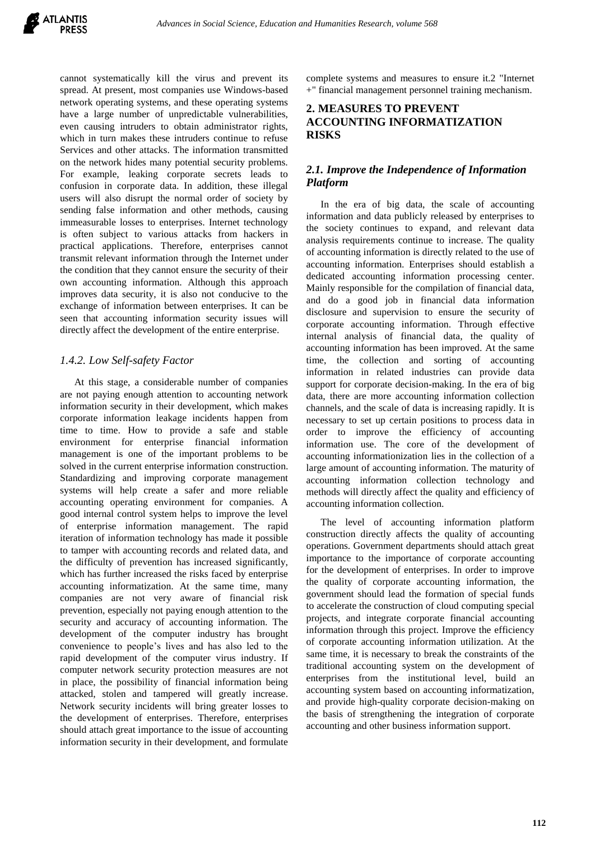

cannot systematically kill the virus and prevent its spread. At present, most companies use Windows-based network operating systems, and these operating systems have a large number of unpredictable vulnerabilities, even causing intruders to obtain administrator rights, which in turn makes these intruders continue to refuse Services and other attacks. The information transmitted on the network hides many potential security problems. For example, leaking corporate secrets leads to confusion in corporate data. In addition, these illegal users will also disrupt the normal order of society by sending false information and other methods, causing immeasurable losses to enterprises. Internet technology is often subject to various attacks from hackers in practical applications. Therefore, enterprises cannot transmit relevant information through the Internet under the condition that they cannot ensure the security of their own accounting information. Although this approach improves data security, it is also not conducive to the exchange of information between enterprises. It can be seen that accounting information security issues will directly affect the development of the entire enterprise.

### *1.4.2. Low Self-safety Factor*

At this stage, a considerable number of companies are not paying enough attention to accounting network information security in their development, which makes corporate information leakage incidents happen from time to time. How to provide a safe and stable environment for enterprise financial information management is one of the important problems to be solved in the current enterprise information construction. Standardizing and improving corporate management systems will help create a safer and more reliable accounting operating environment for companies. A good internal control system helps to improve the level of enterprise information management. The rapid iteration of information technology has made it possible to tamper with accounting records and related data, and the difficulty of prevention has increased significantly, which has further increased the risks faced by enterprise accounting informatization. At the same time, many companies are not very aware of financial risk prevention, especially not paying enough attention to the security and accuracy of accounting information. The development of the computer industry has brought convenience to people's lives and has also led to the rapid development of the computer virus industry. If computer network security protection measures are not in place, the possibility of financial information being attacked, stolen and tampered will greatly increase. Network security incidents will bring greater losses to the development of enterprises. Therefore, enterprises should attach great importance to the issue of accounting information security in their development, and formulate

complete systems and measures to ensure it.2 "Internet +" financial management personnel training mechanism.

## **2. MEASURES TO PREVENT ACCOUNTING INFORMATIZATION RISKS**

# *2.1. Improve the Independence of Information Platform*

In the era of big data, the scale of accounting information and data publicly released by enterprises to the society continues to expand, and relevant data analysis requirements continue to increase. The quality of accounting information is directly related to the use of accounting information. Enterprises should establish a dedicated accounting information processing center. Mainly responsible for the compilation of financial data, and do a good job in financial data information disclosure and supervision to ensure the security of corporate accounting information. Through effective internal analysis of financial data, the quality of accounting information has been improved. At the same time, the collection and sorting of accounting information in related industries can provide data support for corporate decision-making. In the era of big data, there are more accounting information collection channels, and the scale of data is increasing rapidly. It is necessary to set up certain positions to process data in order to improve the efficiency of accounting information use. The core of the development of accounting informationization lies in the collection of a large amount of accounting information. The maturity of accounting information collection technology and methods will directly affect the quality and efficiency of accounting information collection.

The level of accounting information platform construction directly affects the quality of accounting operations. Government departments should attach great importance to the importance of corporate accounting for the development of enterprises. In order to improve the quality of corporate accounting information, the government should lead the formation of special funds to accelerate the construction of cloud computing special projects, and integrate corporate financial accounting information through this project. Improve the efficiency of corporate accounting information utilization. At the same time, it is necessary to break the constraints of the traditional accounting system on the development of enterprises from the institutional level, build an accounting system based on accounting informatization, and provide high-quality corporate decision-making on the basis of strengthening the integration of corporate accounting and other business information support.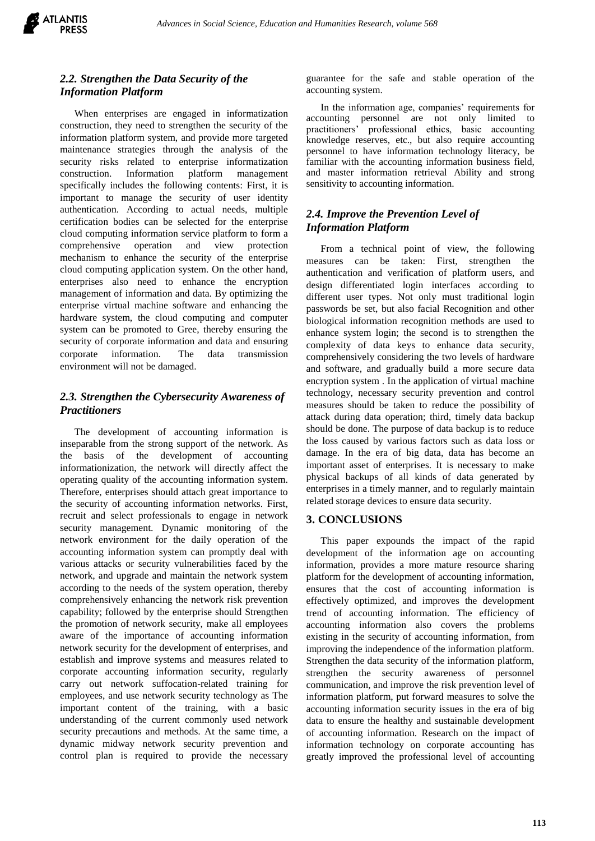

# *2.2. Strengthen the Data Security of the Information Platform*

When enterprises are engaged in informatization construction, they need to strengthen the security of the information platform system, and provide more targeted maintenance strategies through the analysis of the security risks related to enterprise informatization construction. Information platform management specifically includes the following contents: First, it is important to manage the security of user identity authentication. According to actual needs, multiple certification bodies can be selected for the enterprise cloud computing information service platform to form a comprehensive operation and view protection mechanism to enhance the security of the enterprise cloud computing application system. On the other hand, enterprises also need to enhance the encryption management of information and data. By optimizing the enterprise virtual machine software and enhancing the hardware system, the cloud computing and computer system can be promoted to Gree, thereby ensuring the security of corporate information and data and ensuring corporate information. The data transmission environment will not be damaged.

# *2.3. Strengthen the Cybersecurity Awareness of Practitioners*

The development of accounting information is inseparable from the strong support of the network. As the basis of the development of accounting informationization, the network will directly affect the operating quality of the accounting information system. Therefore, enterprises should attach great importance to the security of accounting information networks. First, recruit and select professionals to engage in network security management. Dynamic monitoring of the network environment for the daily operation of the accounting information system can promptly deal with various attacks or security vulnerabilities faced by the network, and upgrade and maintain the network system according to the needs of the system operation, thereby comprehensively enhancing the network risk prevention capability; followed by the enterprise should Strengthen the promotion of network security, make all employees aware of the importance of accounting information network security for the development of enterprises, and establish and improve systems and measures related to corporate accounting information security, regularly carry out network suffocation-related training for employees, and use network security technology as The important content of the training, with a basic understanding of the current commonly used network security precautions and methods. At the same time, a dynamic midway network security prevention and control plan is required to provide the necessary

guarantee for the safe and stable operation of the accounting system.

In the information age, companies' requirements for accounting personnel are not only limited to practitioners' professional ethics, basic accounting knowledge reserves, etc., but also require accounting personnel to have information technology literacy, be familiar with the accounting information business field, and master information retrieval Ability and strong sensitivity to accounting information.

# *2.4. Improve the Prevention Level of Information Platform*

From a technical point of view, the following measures can be taken: First, strengthen the authentication and verification of platform users, and design differentiated login interfaces according to different user types. Not only must traditional login passwords be set, but also facial Recognition and other biological information recognition methods are used to enhance system login; the second is to strengthen the complexity of data keys to enhance data security, comprehensively considering the two levels of hardware and software, and gradually build a more secure data encryption system . In the application of virtual machine technology, necessary security prevention and control measures should be taken to reduce the possibility of attack during data operation; third, timely data backup should be done. The purpose of data backup is to reduce the loss caused by various factors such as data loss or damage. In the era of big data, data has become an important asset of enterprises. It is necessary to make physical backups of all kinds of data generated by enterprises in a timely manner, and to regularly maintain related storage devices to ensure data security.

## **3. CONCLUSIONS**

This paper expounds the impact of the rapid development of the information age on accounting information, provides a more mature resource sharing platform for the development of accounting information, ensures that the cost of accounting information is effectively optimized, and improves the development trend of accounting information. The efficiency of accounting information also covers the problems existing in the security of accounting information, from improving the independence of the information platform. Strengthen the data security of the information platform, strengthen the security awareness of personnel communication, and improve the risk prevention level of information platform, put forward measures to solve the accounting information security issues in the era of big data to ensure the healthy and sustainable development of accounting information. Research on the impact of information technology on corporate accounting has greatly improved the professional level of accounting